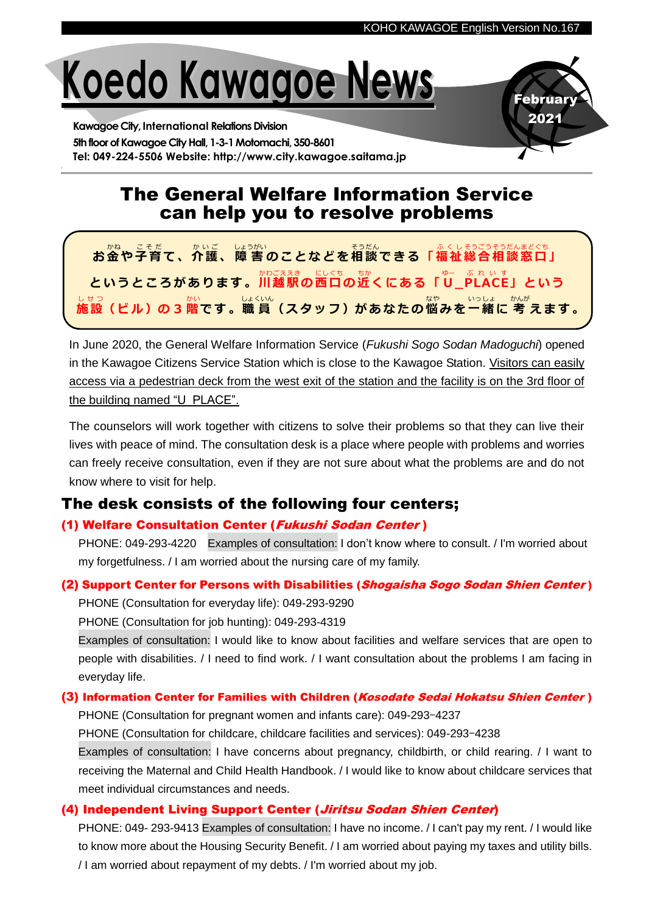ebruar 2021



**Kawagoe City, International Relations Division** 5th floor of Kawagoe City Hall, 1-3-1 Motomachi, 350-8601 **Tel: 049-224-5506 Website: http://www.city.kawagoe.saitama.jp**

# The General Welfare Information Service can help you to resolve problems



In June 2020, the General Welfare Information Service (*Fukushi Sogo Sodan Madoguchi*) opened in the Kawagoe Citizens Service Station which is close to the Kawagoe Station. Visitors can easily access via a pedestrian deck from the west exit of the station and the facility is on the 3rd floor of the building named "U\_PLACE".

The counselors will work together with citizens to solve their problems so that they can live their lives with peace of mind. The consultation desk is a place where people with problems and worries can freely receive consultation, even if they are not sure about what the problems are and do not know where to visit for help.

## The desk consists of the following four centers;

### (1) Welfare Consultation Center (Fukushi Sodan Center )

PHONE: 049-293-4220 Examples of consultation: I don't know where to consult. / I'm worried about my forgetfulness. / I am worried about the nursing care of my family.

### (2) Support Center for Persons with Disabilities (Shogaisha Sogo Sodan Shien Center)

PHONE (Consultation for everyday life): 049-293-9290

PHONE (Consultation for job hunting): 049-293-4319

 Examples of consultation: I would like to know about facilities and welfare services that are open to people with disabilities. / I need to find work. / I want consultation about the problems I am facing in everyday life.

### (3) Information Center for Families with Children (Kosodate Sedai Hokatsu Shien Center)

PHONE (Consultation for pregnant women and infants care): 049-293-4237

PHONE (Consultation for childcare, childcare facilities and services): 049-293-4238

 Examples of consultation: I have concerns about pregnancy, childbirth, or child rearing. / I want to receiving the Maternal and Child Health Handbook. / I would like to know about childcare services that meet individual circumstances and needs.

## (4) Independent Living Support Center (*Jiritsu Sodan Shien Center*)

 PHONE: 049- 293-9413 Examples of consultation: I have no income. / I can't pay my rent. / I would like to know more about the Housing Security Benefit. / I am worried about paying my taxes and utility bills. / I am worried about repayment of my debts. / I'm worried about my job.